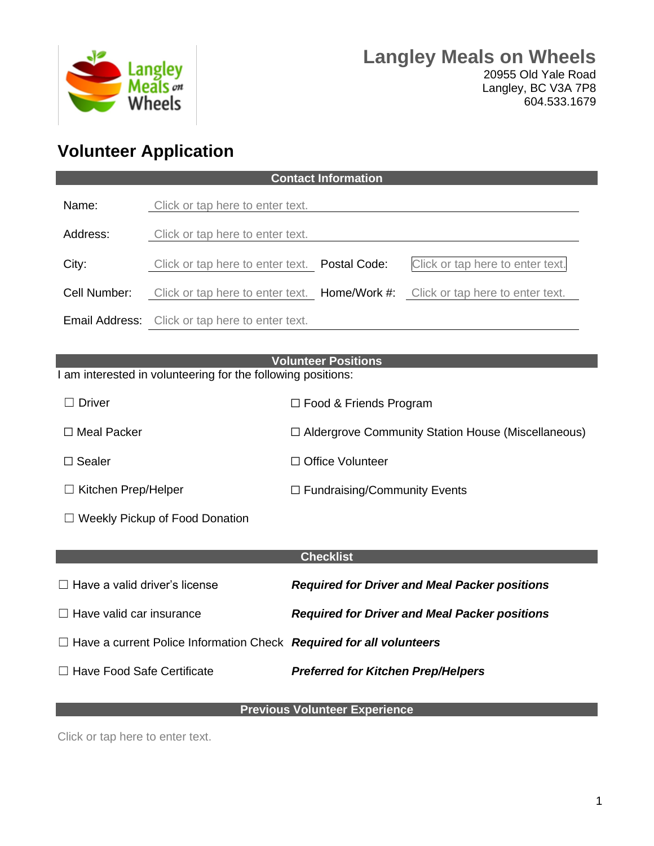

## **Volunteer Application**

| <b>Contact Information</b>                                                                 |                                                        |                                                      |  |                                                                                |  |  |  |
|--------------------------------------------------------------------------------------------|--------------------------------------------------------|------------------------------------------------------|--|--------------------------------------------------------------------------------|--|--|--|
| Name:                                                                                      | Click or tap here to enter text.                       |                                                      |  |                                                                                |  |  |  |
| Address:                                                                                   | Click or tap here to enter text.                       |                                                      |  |                                                                                |  |  |  |
| City:                                                                                      | Click or tap here to enter text. Postal Code:          |                                                      |  | Click or tap here to enter text.                                               |  |  |  |
| Cell Number:                                                                               |                                                        |                                                      |  | Click or tap here to enter text. Home/Work #: Click or tap here to enter text. |  |  |  |
|                                                                                            | <b>Email Address:</b> Click or tap here to enter text. |                                                      |  |                                                                                |  |  |  |
|                                                                                            |                                                        |                                                      |  |                                                                                |  |  |  |
| <b>Volunteer Positions</b><br>I am interested in volunteering for the following positions: |                                                        |                                                      |  |                                                                                |  |  |  |
| $\Box$ Driver                                                                              |                                                        | $\Box$ Food & Friends Program                        |  |                                                                                |  |  |  |
| $\Box$ Meal Packer                                                                         |                                                        | □ Aldergrove Community Station House (Miscellaneous) |  |                                                                                |  |  |  |
| $\Box$ Sealer                                                                              |                                                        | □ Office Volunteer                                   |  |                                                                                |  |  |  |
| $\Box$ Kitchen Prep/Helper                                                                 |                                                        | $\Box$ Fundraising/Community Events                  |  |                                                                                |  |  |  |
| $\Box$ Weekly Pickup of Food Donation                                                      |                                                        |                                                      |  |                                                                                |  |  |  |
|                                                                                            |                                                        |                                                      |  |                                                                                |  |  |  |
| <b>Checklist</b>                                                                           |                                                        |                                                      |  |                                                                                |  |  |  |
| $\Box$ Have a valid driver's license                                                       |                                                        | <b>Required for Driver and Meal Packer positions</b> |  |                                                                                |  |  |  |
| $\Box$ Have valid car insurance                                                            |                                                        | <b>Required for Driver and Meal Packer positions</b> |  |                                                                                |  |  |  |
| $\Box$ Have a current Police Information Check Required for all volunteers                 |                                                        |                                                      |  |                                                                                |  |  |  |
| $\Box$ Have Food Safe Certificate                                                          |                                                        | <b>Preferred for Kitchen Prep/Helpers</b>            |  |                                                                                |  |  |  |
|                                                                                            |                                                        |                                                      |  |                                                                                |  |  |  |

## **Previous Volunteer Experience**

Click or tap here to enter text.